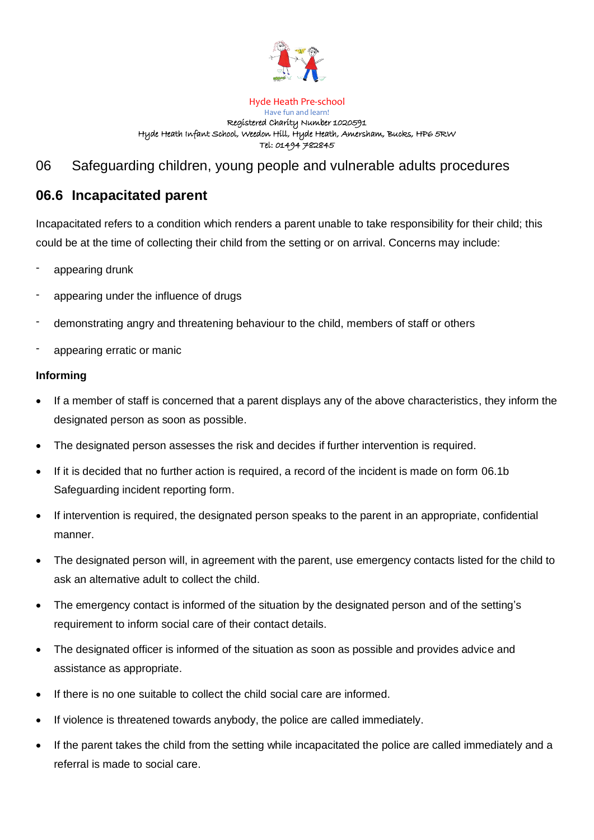

#### Hyde Heath Pre-school Have fun and learn! Registered Charity Number 1020591 Hyde Heath Infant School, Weedon Hill, Hyde Heath, Amersham, Bucks, HP6 5RW Tel: 01494 782845

# 06 Safeguarding children, young people and vulnerable adults procedures

## **06.6 Incapacitated parent**

Incapacitated refers to a condition which renders a parent unable to take responsibility for their child; this could be at the time of collecting their child from the setting or on arrival. Concerns may include:

- appearing drunk
- appearing under the influence of drugs
- demonstrating angry and threatening behaviour to the child, members of staff or others
- appearing erratic or manic

#### **Informing**

- If a member of staff is concerned that a parent displays any of the above characteristics, they inform the designated person as soon as possible.
- The designated person assesses the risk and decides if further intervention is required.
- If it is decided that no further action is required, a record of the incident is made on form 06.1b Safeguarding incident reporting form.
- If intervention is required, the designated person speaks to the parent in an appropriate, confidential manner.
- The designated person will, in agreement with the parent, use emergency contacts listed for the child to ask an alternative adult to collect the child.
- The emergency contact is informed of the situation by the designated person and of the setting's requirement to inform social care of their contact details.
- The designated officer is informed of the situation as soon as possible and provides advice and assistance as appropriate.
- If there is no one suitable to collect the child social care are informed.
- If violence is threatened towards anybody, the police are called immediately.
- If the parent takes the child from the setting while incapacitated the police are called immediately and a referral is made to social care.